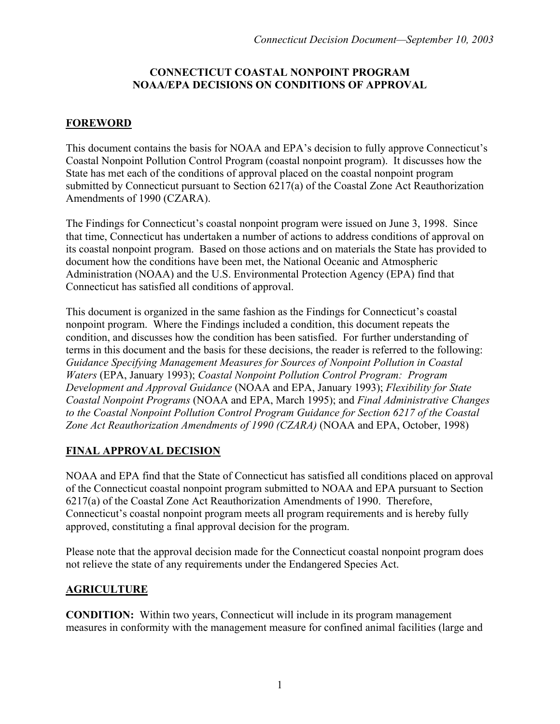#### **CONNECTICUT COASTAL NONPOINT PROGRAM NOAA/EPA DECISIONS ON CONDITIONS OF APPROVAL**

## **FOREWORD**

This document contains the basis for NOAA and EPA's decision to fully approve Connecticut's Coastal Nonpoint Pollution Control Program (coastal nonpoint program). It discusses how the State has met each of the conditions of approval placed on the coastal nonpoint program submitted by Connecticut pursuant to Section 6217(a) of the Coastal Zone Act Reauthorization Amendments of 1990 (CZARA).

The Findings for Connecticut's coastal nonpoint program were issued on June 3, 1998. Since that time, Connecticut has undertaken a number of actions to address conditions of approval on its coastal nonpoint program. Based on those actions and on materials the State has provided to document how the conditions have been met, the National Oceanic and Atmospheric Administration (NOAA) and the U.S. Environmental Protection Agency (EPA) find that Connecticut has satisfied all conditions of approval.

This document is organized in the same fashion as the Findings for Connecticut's coastal nonpoint program. Where the Findings included a condition, this document repeats the condition, and discusses how the condition has been satisfied. For further understanding of terms in this document and the basis for these decisions, the reader is referred to the following: *Guidance Specifying Management Measures for Sources of Nonpoint Pollution in Coastal Waters* (EPA, January 1993); *Coastal Nonpoint Pollution Control Program: Program Development and Approval Guidance* (NOAA and EPA, January 1993); *Flexibility for State Coastal Nonpoint Programs* (NOAA and EPA, March 1995); and *Final Administrative Changes to the Coastal Nonpoint Pollution Control Program Guidance for Section 6217 of the Coastal Zone Act Reauthorization Amendments of 1990 (CZARA)* (NOAA and EPA, October, 1998)

### **FINAL APPROVAL DECISION**

NOAA and EPA find that the State of Connecticut has satisfied all conditions placed on approval of the Connecticut coastal nonpoint program submitted to NOAA and EPA pursuant to Section 6217(a) of the Coastal Zone Act Reauthorization Amendments of 1990. Therefore, Connecticut's coastal nonpoint program meets all program requirements and is hereby fully approved, constituting a final approval decision for the program.

Please note that the approval decision made for the Connecticut coastal nonpoint program does not relieve the state of any requirements under the Endangered Species Act.

# **AGRICULTURE**

**CONDITION:** Within two years, Connecticut will include in its program management measures in conformity with the management measure for confined animal facilities (large and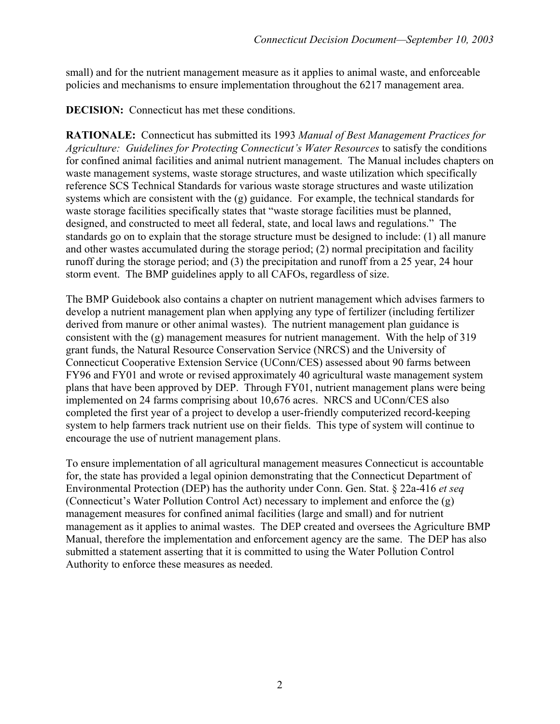small) and for the nutrient management measure as it applies to animal waste, and enforceable policies and mechanisms to ensure implementation throughout the 6217 management area.

**DECISION:** Connecticut has met these conditions.

**RATIONALE:** Connecticut has submitted its 1993 *Manual of Best Management Practices for Agriculture: Guidelines for Protecting Connecticut's Water Resources* to satisfy the conditions for confined animal facilities and animal nutrient management. The Manual includes chapters on waste management systems, waste storage structures, and waste utilization which specifically reference SCS Technical Standards for various waste storage structures and waste utilization systems which are consistent with the (g) guidance. For example, the technical standards for waste storage facilities specifically states that "waste storage facilities must be planned, designed, and constructed to meet all federal, state, and local laws and regulations." The standards go on to explain that the storage structure must be designed to include: (1) all manure and other wastes accumulated during the storage period; (2) normal precipitation and facility runoff during the storage period; and (3) the precipitation and runoff from a 25 year, 24 hour storm event. The BMP guidelines apply to all CAFOs, regardless of size.

The BMP Guidebook also contains a chapter on nutrient management which advises farmers to develop a nutrient management plan when applying any type of fertilizer (including fertilizer derived from manure or other animal wastes). The nutrient management plan guidance is consistent with the (g) management measures for nutrient management. With the help of 319 grant funds, the Natural Resource Conservation Service (NRCS) and the University of Connecticut Cooperative Extension Service (UConn/CES) assessed about 90 farms between FY96 and FY01 and wrote or revised approximately 40 agricultural waste management system plans that have been approved by DEP. Through FY01, nutrient management plans were being implemented on 24 farms comprising about 10,676 acres. NRCS and UConn/CES also completed the first year of a project to develop a user-friendly computerized record-keeping system to help farmers track nutrient use on their fields. This type of system will continue to encourage the use of nutrient management plans.

To ensure implementation of all agricultural management measures Connecticut is accountable for, the state has provided a legal opinion demonstrating that the Connecticut Department of Environmental Protection (DEP) has the authority under Conn. Gen. Stat. § 22a-416 *et seq*  (Connecticut's Water Pollution Control Act) necessary to implement and enforce the (g) management measures for confined animal facilities (large and small) and for nutrient management as it applies to animal wastes. The DEP created and oversees the Agriculture BMP Manual, therefore the implementation and enforcement agency are the same. The DEP has also submitted a statement asserting that it is committed to using the Water Pollution Control Authority to enforce these measures as needed.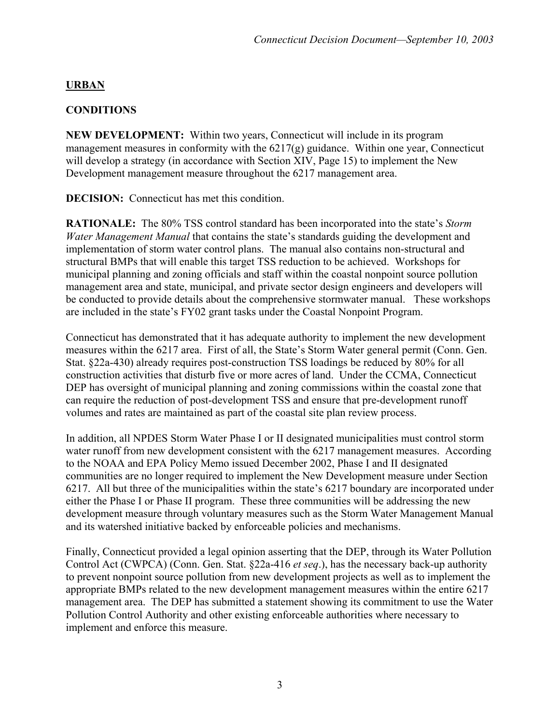## **URBAN**

### **CONDITIONS**

**NEW DEVELOPMENT:** Within two years, Connecticut will include in its program management measures in conformity with the 6217(g) guidance. Within one year, Connecticut will develop a strategy (in accordance with Section XIV, Page 15) to implement the New Development management measure throughout the 6217 management area.

**DECISION:** Connecticut has met this condition.

**RATIONALE:** The 80% TSS control standard has been incorporated into the state's *Storm Water Management Manual* that contains the state's standards guiding the development and implementation of storm water control plans. The manual also contains non-structural and structural BMPs that will enable this target TSS reduction to be achieved. Workshops for municipal planning and zoning officials and staff within the coastal nonpoint source pollution management area and state, municipal, and private sector design engineers and developers will be conducted to provide details about the comprehensive stormwater manual. These workshops are included in the state's FY02 grant tasks under the Coastal Nonpoint Program.

Connecticut has demonstrated that it has adequate authority to implement the new development measures within the 6217 area. First of all, the State's Storm Water general permit (Conn. Gen. Stat. §22a-430) already requires post-construction TSS loadings be reduced by 80% for all construction activities that disturb five or more acres of land. Under the CCMA, Connecticut DEP has oversight of municipal planning and zoning commissions within the coastal zone that can require the reduction of post-development TSS and ensure that pre-development runoff volumes and rates are maintained as part of the coastal site plan review process.

In addition, all NPDES Storm Water Phase I or II designated municipalities must control storm water runoff from new development consistent with the 6217 management measures. According to the NOAA and EPA Policy Memo issued December 2002, Phase I and II designated communities are no longer required to implement the New Development measure under Section 6217. All but three of the municipalities within the state's 6217 boundary are incorporated under either the Phase I or Phase II program. These three communities will be addressing the new development measure through voluntary measures such as the Storm Water Management Manual and its watershed initiative backed by enforceable policies and mechanisms.

Finally, Connecticut provided a legal opinion asserting that the DEP, through its Water Pollution Control Act (CWPCA) (Conn. Gen. Stat. §22a-416 *et seq*.), has the necessary back-up authority to prevent nonpoint source pollution from new development projects as well as to implement the appropriate BMPs related to the new development management measures within the entire 6217 management area. The DEP has submitted a statement showing its commitment to use the Water Pollution Control Authority and other existing enforceable authorities where necessary to implement and enforce this measure.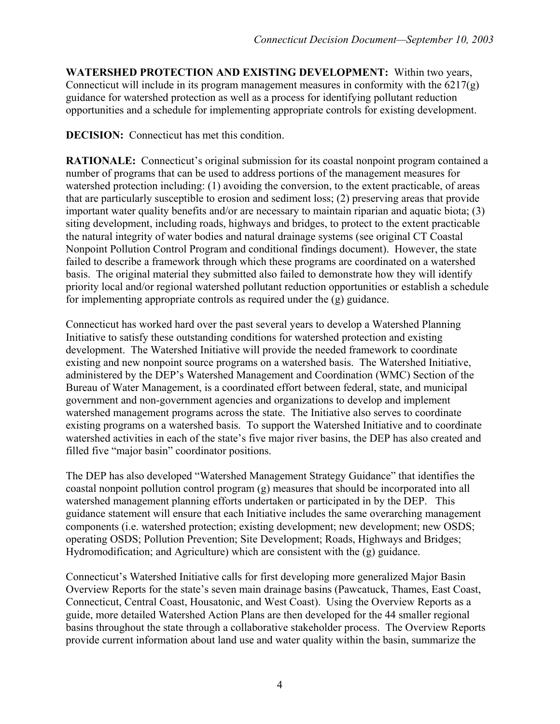**WATERSHED PROTECTION AND EXISTING DEVELOPMENT:** Within two years, Connecticut will include in its program management measures in conformity with the 6217(g) guidance for watershed protection as well as a process for identifying pollutant reduction opportunities and a schedule for implementing appropriate controls for existing development.

**DECISION:** Connecticut has met this condition.

**RATIONALE:** Connecticut's original submission for its coastal nonpoint program contained a number of programs that can be used to address portions of the management measures for watershed protection including: (1) avoiding the conversion, to the extent practicable, of areas that are particularly susceptible to erosion and sediment loss; (2) preserving areas that provide important water quality benefits and/or are necessary to maintain riparian and aquatic biota; (3) siting development, including roads, highways and bridges, to protect to the extent practicable the natural integrity of water bodies and natural drainage systems (see original CT Coastal Nonpoint Pollution Control Program and conditional findings document). However, the state failed to describe a framework through which these programs are coordinated on a watershed basis. The original material they submitted also failed to demonstrate how they will identify priority local and/or regional watershed pollutant reduction opportunities or establish a schedule for implementing appropriate controls as required under the (g) guidance.

Connecticut has worked hard over the past several years to develop a Watershed Planning Initiative to satisfy these outstanding conditions for watershed protection and existing development. The Watershed Initiative will provide the needed framework to coordinate existing and new nonpoint source programs on a watershed basis. The Watershed Initiative, administered by the DEP's Watershed Management and Coordination (WMC) Section of the Bureau of Water Management, is a coordinated effort between federal, state, and municipal government and non-government agencies and organizations to develop and implement watershed management programs across the state. The Initiative also serves to coordinate existing programs on a watershed basis. To support the Watershed Initiative and to coordinate watershed activities in each of the state's five major river basins, the DEP has also created and filled five "major basin" coordinator positions.

The DEP has also developed "Watershed Management Strategy Guidance" that identifies the coastal nonpoint pollution control program (g) measures that should be incorporated into all watershed management planning efforts undertaken or participated in by the DEP. This guidance statement will ensure that each Initiative includes the same overarching management components (i.e. watershed protection; existing development; new development; new OSDS; operating OSDS; Pollution Prevention; Site Development; Roads, Highways and Bridges; Hydromodification; and Agriculture) which are consistent with the (g) guidance.

Connecticut's Watershed Initiative calls for first developing more generalized Major Basin Overview Reports for the state's seven main drainage basins (Pawcatuck, Thames, East Coast, Connecticut, Central Coast, Housatonic, and West Coast). Using the Overview Reports as a guide, more detailed Watershed Action Plans are then developed for the 44 smaller regional basins throughout the state through a collaborative stakeholder process. The Overview Reports provide current information about land use and water quality within the basin, summarize the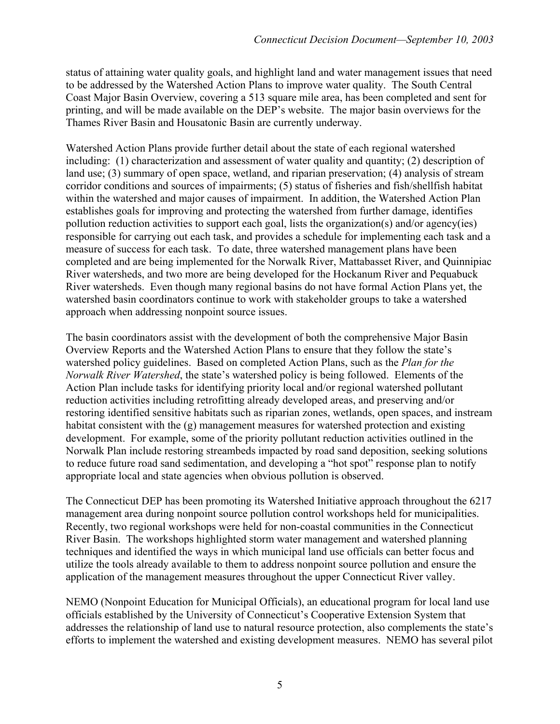status of attaining water quality goals, and highlight land and water management issues that need to be addressed by the Watershed Action Plans to improve water quality. The South Central Coast Major Basin Overview, covering a 513 square mile area, has been completed and sent for printing, and will be made available on the DEP's website. The major basin overviews for the Thames River Basin and Housatonic Basin are currently underway.

Watershed Action Plans provide further detail about the state of each regional watershed including: (1) characterization and assessment of water quality and quantity; (2) description of land use; (3) summary of open space, wetland, and riparian preservation; (4) analysis of stream corridor conditions and sources of impairments; (5) status of fisheries and fish/shellfish habitat within the watershed and major causes of impairment. In addition, the Watershed Action Plan establishes goals for improving and protecting the watershed from further damage, identifies pollution reduction activities to support each goal, lists the organization(s) and/or agency(ies) responsible for carrying out each task, and provides a schedule for implementing each task and a measure of success for each task. To date, three watershed management plans have been completed and are being implemented for the Norwalk River, Mattabasset River, and Quinnipiac River watersheds, and two more are being developed for the Hockanum River and Pequabuck River watersheds. Even though many regional basins do not have formal Action Plans yet, the watershed basin coordinators continue to work with stakeholder groups to take a watershed approach when addressing nonpoint source issues.

The basin coordinators assist with the development of both the comprehensive Major Basin Overview Reports and the Watershed Action Plans to ensure that they follow the state's watershed policy guidelines. Based on completed Action Plans, such as the *Plan for the Norwalk River Watershed*, the state's watershed policy is being followed. Elements of the Action Plan include tasks for identifying priority local and/or regional watershed pollutant reduction activities including retrofitting already developed areas, and preserving and/or restoring identified sensitive habitats such as riparian zones, wetlands, open spaces, and instream habitat consistent with the (g) management measures for watershed protection and existing development. For example, some of the priority pollutant reduction activities outlined in the Norwalk Plan include restoring streambeds impacted by road sand deposition, seeking solutions to reduce future road sand sedimentation, and developing a "hot spot" response plan to notify appropriate local and state agencies when obvious pollution is observed.

The Connecticut DEP has been promoting its Watershed Initiative approach throughout the 6217 management area during nonpoint source pollution control workshops held for municipalities. Recently, two regional workshops were held for non-coastal communities in the Connecticut River Basin. The workshops highlighted storm water management and watershed planning techniques and identified the ways in which municipal land use officials can better focus and utilize the tools already available to them to address nonpoint source pollution and ensure the application of the management measures throughout the upper Connecticut River valley.

NEMO (Nonpoint Education for Municipal Officials), an educational program for local land use officials established by the University of Connecticut's Cooperative Extension System that addresses the relationship of land use to natural resource protection, also complements the state's efforts to implement the watershed and existing development measures. NEMO has several pilot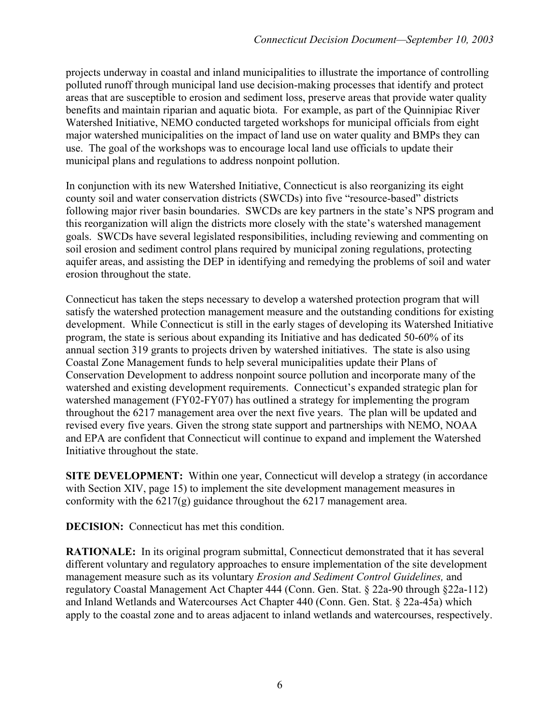projects underway in coastal and inland municipalities to illustrate the importance of controlling polluted runoff through municipal land use decision-making processes that identify and protect areas that are susceptible to erosion and sediment loss, preserve areas that provide water quality benefits and maintain riparian and aquatic biota. For example, as part of the Quinnipiac River Watershed Initiative, NEMO conducted targeted workshops for municipal officials from eight major watershed municipalities on the impact of land use on water quality and BMPs they can use. The goal of the workshops was to encourage local land use officials to update their municipal plans and regulations to address nonpoint pollution.

In conjunction with its new Watershed Initiative, Connecticut is also reorganizing its eight county soil and water conservation districts (SWCDs) into five "resource-based" districts following major river basin boundaries. SWCDs are key partners in the state's NPS program and this reorganization will align the districts more closely with the state's watershed management goals. SWCDs have several legislated responsibilities, including reviewing and commenting on soil erosion and sediment control plans required by municipal zoning regulations, protecting aquifer areas, and assisting the DEP in identifying and remedying the problems of soil and water erosion throughout the state.

Connecticut has taken the steps necessary to develop a watershed protection program that will satisfy the watershed protection management measure and the outstanding conditions for existing development. While Connecticut is still in the early stages of developing its Watershed Initiative program, the state is serious about expanding its Initiative and has dedicated 50-60% of its annual section 319 grants to projects driven by watershed initiatives. The state is also using Coastal Zone Management funds to help several municipalities update their Plans of Conservation Development to address nonpoint source pollution and incorporate many of the watershed and existing development requirements. Connecticut's expanded strategic plan for watershed management (FY02-FY07) has outlined a strategy for implementing the program throughout the 6217 management area over the next five years. The plan will be updated and revised every five years. Given the strong state support and partnerships with NEMO, NOAA and EPA are confident that Connecticut will continue to expand and implement the Watershed Initiative throughout the state.

**SITE DEVELOPMENT:** Within one year, Connecticut will develop a strategy (in accordance with Section XIV, page 15) to implement the site development management measures in conformity with the  $6217(g)$  guidance throughout the  $6217$  management area.

**DECISION:** Connecticut has met this condition.

**RATIONALE:** In its original program submittal, Connecticut demonstrated that it has several different voluntary and regulatory approaches to ensure implementation of the site development management measure such as its voluntary *Erosion and Sediment Control Guidelines,* and regulatory Coastal Management Act Chapter 444 (Conn. Gen. Stat. § 22a-90 through §22a-112) and Inland Wetlands and Watercourses Act Chapter 440 (Conn. Gen. Stat. § 22a-45a) which apply to the coastal zone and to areas adjacent to inland wetlands and watercourses, respectively.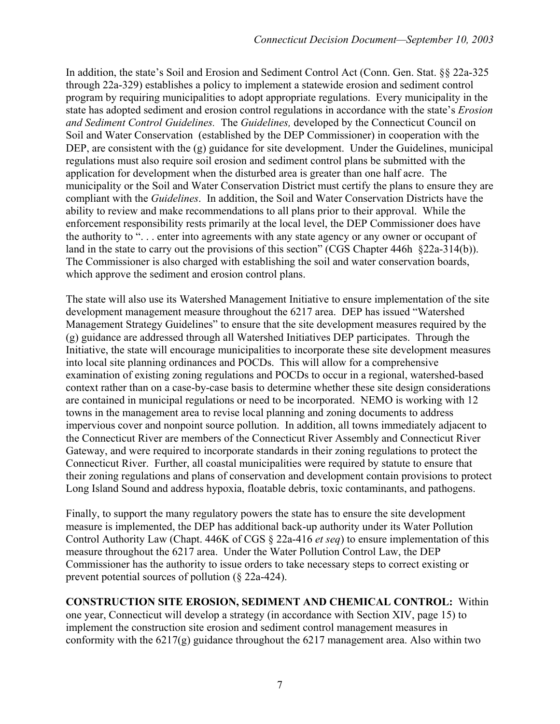In addition, the state's Soil and Erosion and Sediment Control Act (Conn. Gen. Stat. §§ 22a-325 through 22a-329) establishes a policy to implement a statewide erosion and sediment control program by requiring municipalities to adopt appropriate regulations. Every municipality in the state has adopted sediment and erosion control regulations in accordance with the state's *Erosion and Sediment Control Guidelines.* The *Guidelines,* developed by the Connecticut Council on Soil and Water Conservation (established by the DEP Commissioner) in cooperation with the DEP, are consistent with the (g) guidance for site development. Under the Guidelines, municipal regulations must also require soil erosion and sediment control plans be submitted with the application for development when the disturbed area is greater than one half acre. The municipality or the Soil and Water Conservation District must certify the plans to ensure they are compliant with the *Guidelines*. In addition, the Soil and Water Conservation Districts have the ability to review and make recommendations to all plans prior to their approval. While the enforcement responsibility rests primarily at the local level, the DEP Commissioner does have the authority to ". . . enter into agreements with any state agency or any owner or occupant of land in the state to carry out the provisions of this section" (CGS Chapter 446h §22a-314(b)). The Commissioner is also charged with establishing the soil and water conservation boards, which approve the sediment and erosion control plans.

The state will also use its Watershed Management Initiative to ensure implementation of the site development management measure throughout the 6217 area. DEP has issued "Watershed Management Strategy Guidelines" to ensure that the site development measures required by the (g) guidance are addressed through all Watershed Initiatives DEP participates. Through the Initiative, the state will encourage municipalities to incorporate these site development measures into local site planning ordinances and POCDs. This will allow for a comprehensive examination of existing zoning regulations and POCDs to occur in a regional, watershed-based context rather than on a case-by-case basis to determine whether these site design considerations are contained in municipal regulations or need to be incorporated. NEMO is working with 12 towns in the management area to revise local planning and zoning documents to address impervious cover and nonpoint source pollution. In addition, all towns immediately adjacent to the Connecticut River are members of the Connecticut River Assembly and Connecticut River Gateway, and were required to incorporate standards in their zoning regulations to protect the Connecticut River. Further, all coastal municipalities were required by statute to ensure that their zoning regulations and plans of conservation and development contain provisions to protect Long Island Sound and address hypoxia, floatable debris, toxic contaminants, and pathogens.

Finally, to support the many regulatory powers the state has to ensure the site development measure is implemented, the DEP has additional back-up authority under its Water Pollution Control Authority Law (Chapt. 446K of CGS § 22a-416 *et seq*) to ensure implementation of this measure throughout the 6217 area. Under the Water Pollution Control Law, the DEP Commissioner has the authority to issue orders to take necessary steps to correct existing or prevent potential sources of pollution (§ 22a-424).

**CONSTRUCTION SITE EROSION, SEDIMENT AND CHEMICAL CONTROL:** Within one year, Connecticut will develop a strategy (in accordance with Section XIV, page 15) to implement the construction site erosion and sediment control management measures in conformity with the  $6217(g)$  guidance throughout the  $6217$  management area. Also within two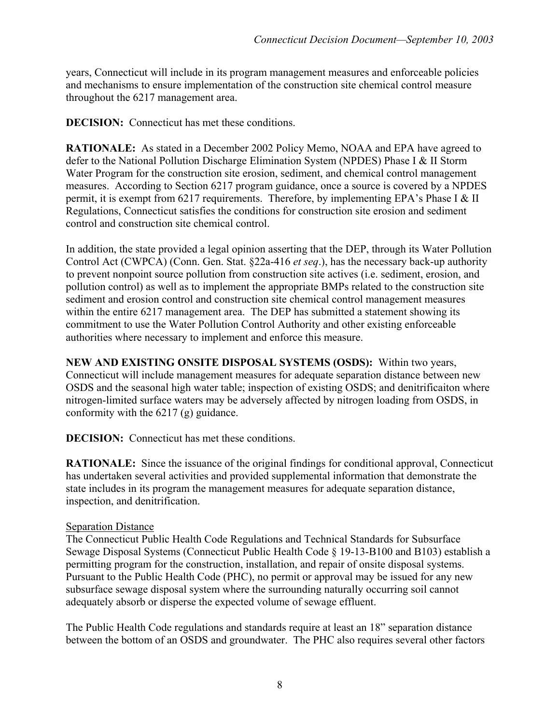years, Connecticut will include in its program management measures and enforceable policies and mechanisms to ensure implementation of the construction site chemical control measure throughout the 6217 management area.

**DECISION:** Connecticut has met these conditions.

**RATIONALE:** As stated in a December 2002 Policy Memo, NOAA and EPA have agreed to defer to the National Pollution Discharge Elimination System (NPDES) Phase I & II Storm Water Program for the construction site erosion, sediment, and chemical control management measures. According to Section 6217 program guidance, once a source is covered by a NPDES permit, it is exempt from 6217 requirements. Therefore, by implementing EPA's Phase I & II Regulations, Connecticut satisfies the conditions for construction site erosion and sediment control and construction site chemical control.

In addition, the state provided a legal opinion asserting that the DEP, through its Water Pollution Control Act (CWPCA) (Conn. Gen. Stat. §22a-416 *et seq*.), has the necessary back-up authority to prevent nonpoint source pollution from construction site actives (i.e. sediment, erosion, and pollution control) as well as to implement the appropriate BMPs related to the construction site sediment and erosion control and construction site chemical control management measures within the entire 6217 management area. The DEP has submitted a statement showing its commitment to use the Water Pollution Control Authority and other existing enforceable authorities where necessary to implement and enforce this measure.

**NEW AND EXISTING ONSITE DISPOSAL SYSTEMS (OSDS):** Within two years, Connecticut will include management measures for adequate separation distance between new OSDS and the seasonal high water table; inspection of existing OSDS; and denitrificaiton where nitrogen-limited surface waters may be adversely affected by nitrogen loading from OSDS, in conformity with the 6217 (g) guidance.

**DECISION:** Connecticut has met these conditions.

**RATIONALE:** Since the issuance of the original findings for conditional approval, Connecticut has undertaken several activities and provided supplemental information that demonstrate the state includes in its program the management measures for adequate separation distance, inspection, and denitrification.

#### **Separation Distance**

The Connecticut Public Health Code Regulations and Technical Standards for Subsurface Sewage Disposal Systems (Connecticut Public Health Code § 19-13-B100 and B103) establish a permitting program for the construction, installation, and repair of onsite disposal systems. Pursuant to the Public Health Code (PHC), no permit or approval may be issued for any new subsurface sewage disposal system where the surrounding naturally occurring soil cannot adequately absorb or disperse the expected volume of sewage effluent.

The Public Health Code regulations and standards require at least an 18" separation distance between the bottom of an OSDS and groundwater. The PHC also requires several other factors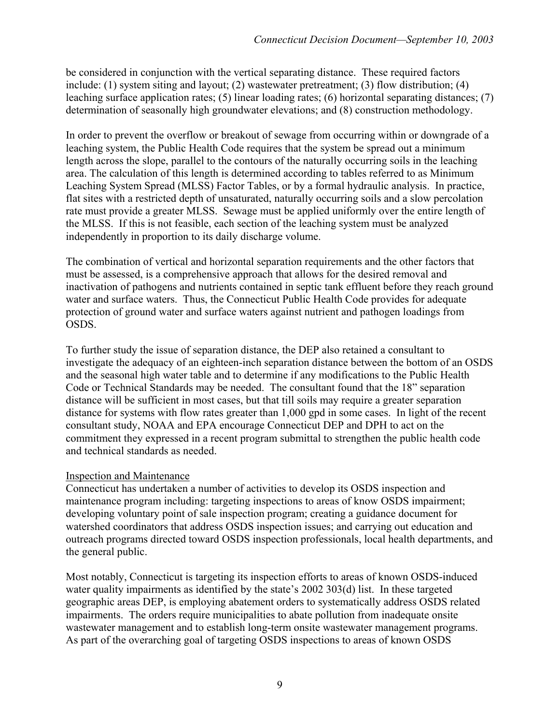be considered in conjunction with the vertical separating distance. These required factors include: (1) system siting and layout; (2) wastewater pretreatment; (3) flow distribution; (4) leaching surface application rates; (5) linear loading rates; (6) horizontal separating distances; (7) determination of seasonally high groundwater elevations; and (8) construction methodology.

In order to prevent the overflow or breakout of sewage from occurring within or downgrade of a leaching system, the Public Health Code requires that the system be spread out a minimum length across the slope, parallel to the contours of the naturally occurring soils in the leaching area. The calculation of this length is determined according to tables referred to as Minimum Leaching System Spread (MLSS) Factor Tables, or by a formal hydraulic analysis. In practice, flat sites with a restricted depth of unsaturated, naturally occurring soils and a slow percolation rate must provide a greater MLSS. Sewage must be applied uniformly over the entire length of the MLSS. If this is not feasible, each section of the leaching system must be analyzed independently in proportion to its daily discharge volume.

The combination of vertical and horizontal separation requirements and the other factors that must be assessed, is a comprehensive approach that allows for the desired removal and inactivation of pathogens and nutrients contained in septic tank effluent before they reach ground water and surface waters. Thus, the Connecticut Public Health Code provides for adequate protection of ground water and surface waters against nutrient and pathogen loadings from OSDS.

To further study the issue of separation distance, the DEP also retained a consultant to investigate the adequacy of an eighteen-inch separation distance between the bottom of an OSDS and the seasonal high water table and to determine if any modifications to the Public Health Code or Technical Standards may be needed. The consultant found that the 18" separation distance will be sufficient in most cases, but that till soils may require a greater separation distance for systems with flow rates greater than 1,000 gpd in some cases. In light of the recent consultant study, NOAA and EPA encourage Connecticut DEP and DPH to act on the commitment they expressed in a recent program submittal to strengthen the public health code and technical standards as needed.

#### Inspection and Maintenance

Connecticut has undertaken a number of activities to develop its OSDS inspection and maintenance program including: targeting inspections to areas of know OSDS impairment; developing voluntary point of sale inspection program; creating a guidance document for watershed coordinators that address OSDS inspection issues; and carrying out education and outreach programs directed toward OSDS inspection professionals, local health departments, and the general public.

Most notably, Connecticut is targeting its inspection efforts to areas of known OSDS-induced water quality impairments as identified by the state's 2002 303(d) list. In these targeted geographic areas DEP, is employing abatement orders to systematically address OSDS related impairments. The orders require municipalities to abate pollution from inadequate onsite wastewater management and to establish long-term onsite wastewater management programs. As part of the overarching goal of targeting OSDS inspections to areas of known OSDS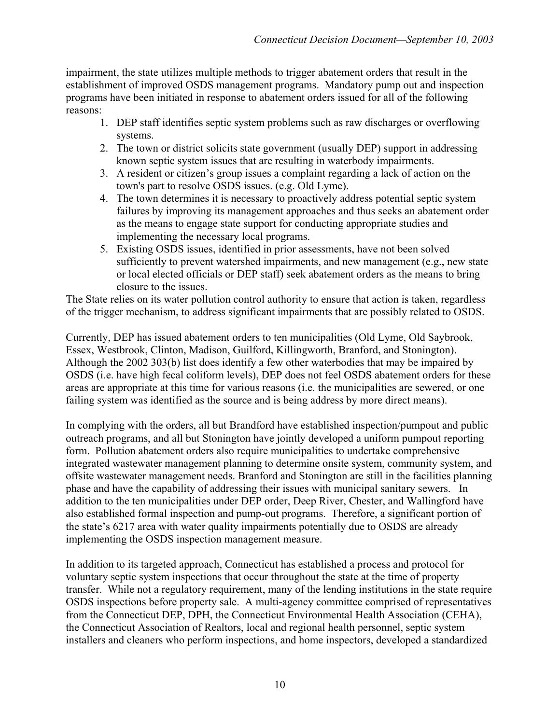impairment, the state utilizes multiple methods to trigger abatement orders that result in the establishment of improved OSDS management programs. Mandatory pump out and inspection programs have been initiated in response to abatement orders issued for all of the following reasons:

- 1. DEP staff identifies septic system problems such as raw discharges or overflowing systems.
- 2. The town or district solicits state government (usually DEP) support in addressing known septic system issues that are resulting in waterbody impairments.
- 3. A resident or citizen's group issues a complaint regarding a lack of action on the town's part to resolve OSDS issues. (e.g. Old Lyme).
- 4. The town determines it is necessary to proactively address potential septic system failures by improving its management approaches and thus seeks an abatement order as the means to engage state support for conducting appropriate studies and implementing the necessary local programs.
- 5. Existing OSDS issues, identified in prior assessments, have not been solved sufficiently to prevent watershed impairments, and new management (e.g., new state or local elected officials or DEP staff) seek abatement orders as the means to bring closure to the issues.

The State relies on its water pollution control authority to ensure that action is taken, regardless of the trigger mechanism, to address significant impairments that are possibly related to OSDS.

Currently, DEP has issued abatement orders to ten municipalities (Old Lyme, Old Saybrook, Essex, Westbrook, Clinton, Madison, Guilford, Killingworth, Branford, and Stonington). Although the 2002 303(b) list does identify a few other waterbodies that may be impaired by OSDS (i.e. have high fecal coliform levels), DEP does not feel OSDS abatement orders for these areas are appropriate at this time for various reasons (i.e. the municipalities are sewered, or one failing system was identified as the source and is being address by more direct means).

In complying with the orders, all but Brandford have established inspection/pumpout and public outreach programs, and all but Stonington have jointly developed a uniform pumpout reporting form. Pollution abatement orders also require municipalities to undertake comprehensive integrated wastewater management planning to determine onsite system, community system, and offsite wastewater management needs. Branford and Stonington are still in the facilities planning phase and have the capability of addressing their issues with municipal sanitary sewers. In addition to the ten municipalities under DEP order, Deep River, Chester, and Wallingford have also established formal inspection and pump-out programs. Therefore, a significant portion of the state's 6217 area with water quality impairments potentially due to OSDS are already implementing the OSDS inspection management measure.

In addition to its targeted approach, Connecticut has established a process and protocol for voluntary septic system inspections that occur throughout the state at the time of property transfer. While not a regulatory requirement, many of the lending institutions in the state require OSDS inspections before property sale. A multi-agency committee comprised of representatives from the Connecticut DEP, DPH, the Connecticut Environmental Health Association (CEHA), the Connecticut Association of Realtors, local and regional health personnel, septic system installers and cleaners who perform inspections, and home inspectors, developed a standardized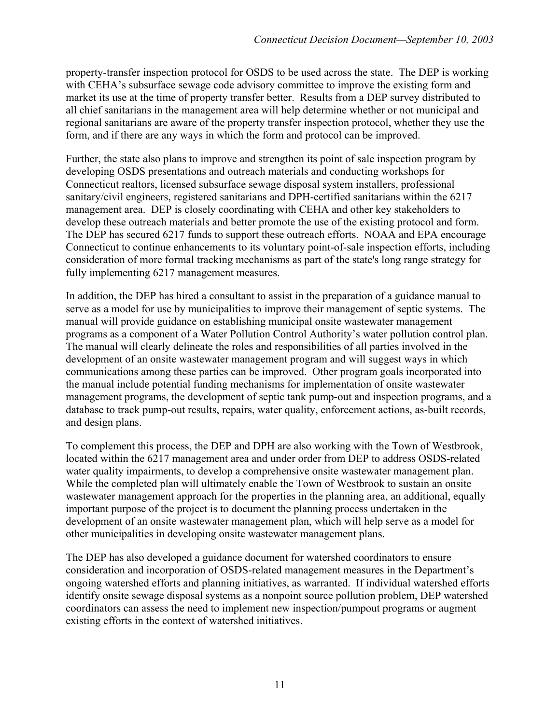property-transfer inspection protocol for OSDS to be used across the state. The DEP is working with CEHA's subsurface sewage code advisory committee to improve the existing form and market its use at the time of property transfer better. Results from a DEP survey distributed to all chief sanitarians in the management area will help determine whether or not municipal and regional sanitarians are aware of the property transfer inspection protocol, whether they use the form, and if there are any ways in which the form and protocol can be improved.

Further, the state also plans to improve and strengthen its point of sale inspection program by developing OSDS presentations and outreach materials and conducting workshops for Connecticut realtors, licensed subsurface sewage disposal system installers, professional sanitary/civil engineers, registered sanitarians and DPH-certified sanitarians within the 6217 management area. DEP is closely coordinating with CEHA and other key stakeholders to develop these outreach materials and better promote the use of the existing protocol and form. The DEP has secured 6217 funds to support these outreach efforts. NOAA and EPA encourage Connecticut to continue enhancements to its voluntary point-of-sale inspection efforts, including consideration of more formal tracking mechanisms as part of the state's long range strategy for fully implementing 6217 management measures.

In addition, the DEP has hired a consultant to assist in the preparation of a guidance manual to serve as a model for use by municipalities to improve their management of septic systems. The manual will provide guidance on establishing municipal onsite wastewater management programs as a component of a Water Pollution Control Authority's water pollution control plan. The manual will clearly delineate the roles and responsibilities of all parties involved in the development of an onsite wastewater management program and will suggest ways in which communications among these parties can be improved. Other program goals incorporated into the manual include potential funding mechanisms for implementation of onsite wastewater management programs, the development of septic tank pump-out and inspection programs, and a database to track pump-out results, repairs, water quality, enforcement actions, as-built records, and design plans.

To complement this process, the DEP and DPH are also working with the Town of Westbrook, located within the 6217 management area and under order from DEP to address OSDS-related water quality impairments, to develop a comprehensive onsite wastewater management plan. While the completed plan will ultimately enable the Town of Westbrook to sustain an onsite wastewater management approach for the properties in the planning area, an additional, equally important purpose of the project is to document the planning process undertaken in the development of an onsite wastewater management plan, which will help serve as a model for other municipalities in developing onsite wastewater management plans.

The DEP has also developed a guidance document for watershed coordinators to ensure consideration and incorporation of OSDS-related management measures in the Department's ongoing watershed efforts and planning initiatives, as warranted. If individual watershed efforts identify onsite sewage disposal systems as a nonpoint source pollution problem, DEP watershed coordinators can assess the need to implement new inspection/pumpout programs or augment existing efforts in the context of watershed initiatives.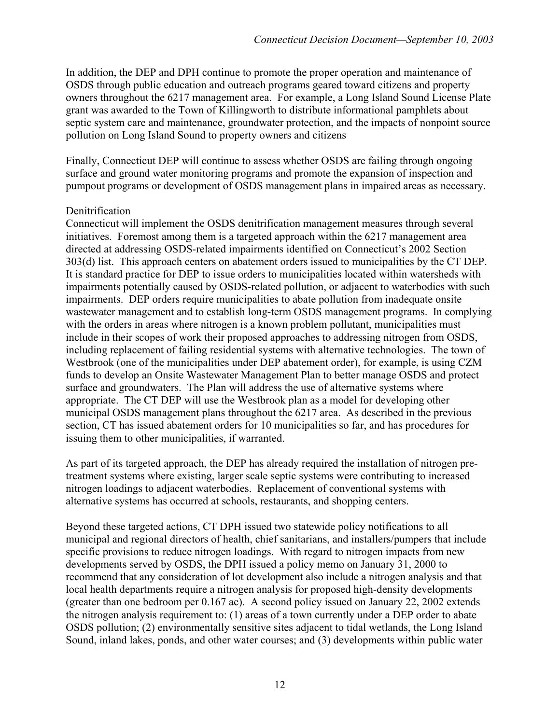In addition, the DEP and DPH continue to promote the proper operation and maintenance of OSDS through public education and outreach programs geared toward citizens and property owners throughout the 6217 management area. For example, a Long Island Sound License Plate grant was awarded to the Town of Killingworth to distribute informational pamphlets about septic system care and maintenance, groundwater protection, and the impacts of nonpoint source pollution on Long Island Sound to property owners and citizens

Finally, Connecticut DEP will continue to assess whether OSDS are failing through ongoing surface and ground water monitoring programs and promote the expansion of inspection and pumpout programs or development of OSDS management plans in impaired areas as necessary.

#### Denitrification

Connecticut will implement the OSDS denitrification management measures through several initiatives. Foremost among them is a targeted approach within the 6217 management area directed at addressing OSDS-related impairments identified on Connecticut's 2002 Section 303(d) list. This approach centers on abatement orders issued to municipalities by the CT DEP. It is standard practice for DEP to issue orders to municipalities located within watersheds with impairments potentially caused by OSDS-related pollution, or adjacent to waterbodies with such impairments. DEP orders require municipalities to abate pollution from inadequate onsite wastewater management and to establish long-term OSDS management programs. In complying with the orders in areas where nitrogen is a known problem pollutant, municipalities must include in their scopes of work their proposed approaches to addressing nitrogen from OSDS, including replacement of failing residential systems with alternative technologies.The town of Westbrook (one of the municipalities under DEP abatement order), for example, is using CZM funds to develop an Onsite Wastewater Management Plan to better manage OSDS and protect surface and groundwaters. The Plan will address the use of alternative systems where appropriate. The CT DEP will use the Westbrook plan as a model for developing other municipal OSDS management plans throughout the 6217 area. As described in the previous section, CT has issued abatement orders for 10 municipalities so far, and has procedures for issuing them to other municipalities, if warranted.

As part of its targeted approach, the DEP has already required the installation of nitrogen pretreatment systems where existing, larger scale septic systems were contributing to increased nitrogen loadings to adjacent waterbodies. Replacement of conventional systems with alternative systems has occurred at schools, restaurants, and shopping centers.

Beyond these targeted actions, CT DPH issued two statewide policy notifications to all municipal and regional directors of health, chief sanitarians, and installers/pumpers that include specific provisions to reduce nitrogen loadings. With regard to nitrogen impacts from new developments served by OSDS, the DPH issued a policy memo on January 31, 2000 to recommend that any consideration of lot development also include a nitrogen analysis and that local health departments require a nitrogen analysis for proposed high-density developments (greater than one bedroom per 0.167 ac). A second policy issued on January 22, 2002 extends the nitrogen analysis requirement to: (1) areas of a town currently under a DEP order to abate OSDS pollution; (2) environmentally sensitive sites adjacent to tidal wetlands, the Long Island Sound, inland lakes, ponds, and other water courses; and (3) developments within public water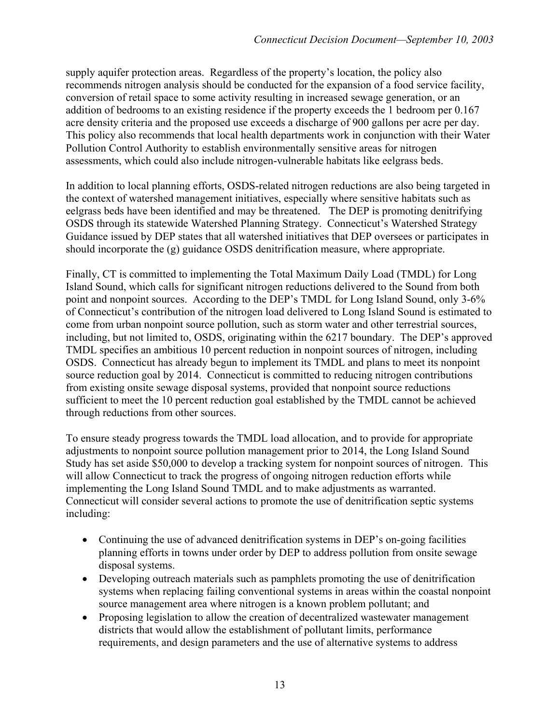supply aquifer protection areas. Regardless of the property's location, the policy also recommends nitrogen analysis should be conducted for the expansion of a food service facility, conversion of retail space to some activity resulting in increased sewage generation, or an addition of bedrooms to an existing residence if the property exceeds the 1 bedroom per 0.167 acre density criteria and the proposed use exceeds a discharge of 900 gallons per acre per day. This policy also recommends that local health departments work in conjunction with their Water Pollution Control Authority to establish environmentally sensitive areas for nitrogen assessments, which could also include nitrogen-vulnerable habitats like eelgrass beds.

In addition to local planning efforts, OSDS-related nitrogen reductions are also being targeted in the context of watershed management initiatives, especially where sensitive habitats such as eelgrass beds have been identified and may be threatened. The DEP is promoting denitrifying OSDS through its statewide Watershed Planning Strategy. Connecticut's Watershed Strategy Guidance issued by DEP states that all watershed initiatives that DEP oversees or participates in should incorporate the (g) guidance OSDS denitrification measure, where appropriate.

Finally, CT is committed to implementing the Total Maximum Daily Load (TMDL) for Long Island Sound, which calls for significant nitrogen reductions delivered to the Sound from both point and nonpoint sources. According to the DEP's TMDL for Long Island Sound, only 3-6% of Connecticut's contribution of the nitrogen load delivered to Long Island Sound is estimated to come from urban nonpoint source pollution, such as storm water and other terrestrial sources, including, but not limited to, OSDS, originating within the 6217 boundary. The DEP's approved TMDL specifies an ambitious 10 percent reduction in nonpoint sources of nitrogen, including OSDS. Connecticut has already begun to implement its TMDL and plans to meet its nonpoint source reduction goal by 2014. Connecticut is committed to reducing nitrogen contributions from existing onsite sewage disposal systems, provided that nonpoint source reductions sufficient to meet the 10 percent reduction goal established by the TMDL cannot be achieved through reductions from other sources.

To ensure steady progress towards the TMDL load allocation, and to provide for appropriate adjustments to nonpoint source pollution management prior to 2014, the Long Island Sound Study has set aside \$50,000 to develop a tracking system for nonpoint sources of nitrogen. This will allow Connecticut to track the progress of ongoing nitrogen reduction efforts while implementing the Long Island Sound TMDL and to make adjustments as warranted. Connecticut will consider several actions to promote the use of denitrification septic systems including:

- Continuing the use of advanced denitrification systems in DEP's on-going facilities planning efforts in towns under order by DEP to address pollution from onsite sewage disposal systems.
- Developing outreach materials such as pamphlets promoting the use of denitrification systems when replacing failing conventional systems in areas within the coastal nonpoint source management area where nitrogen is a known problem pollutant; and
- Proposing legislation to allow the creation of decentralized wastewater management districts that would allow the establishment of pollutant limits, performance requirements, and design parameters and the use of alternative systems to address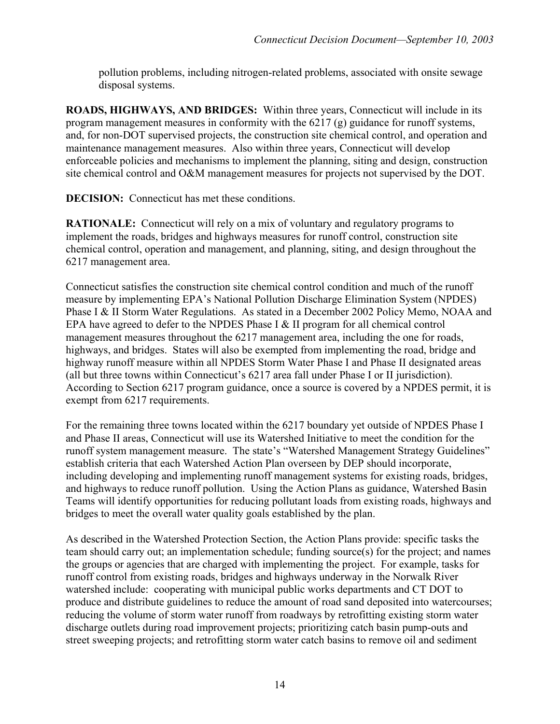pollution problems, including nitrogen-related problems, associated with onsite sewage disposal systems.

**ROADS, HIGHWAYS, AND BRIDGES:** Within three years, Connecticut will include in its program management measures in conformity with the 6217 (g) guidance for runoff systems, and, for non-DOT supervised projects, the construction site chemical control, and operation and maintenance management measures. Also within three years, Connecticut will develop enforceable policies and mechanisms to implement the planning, siting and design, construction site chemical control and O&M management measures for projects not supervised by the DOT.

**DECISION:** Connecticut has met these conditions.

**RATIONALE:** Connecticut will rely on a mix of voluntary and regulatory programs to implement the roads, bridges and highways measures for runoff control, construction site chemical control, operation and management, and planning, siting, and design throughout the 6217 management area.

Connecticut satisfies the construction site chemical control condition and much of the runoff measure by implementing EPA's National Pollution Discharge Elimination System (NPDES) Phase I & II Storm Water Regulations. As stated in a December 2002 Policy Memo, NOAA and EPA have agreed to defer to the NPDES Phase I & II program for all chemical control management measures throughout the 6217 management area, including the one for roads, highways, and bridges. States will also be exempted from implementing the road, bridge and highway runoff measure within all NPDES Storm Water Phase I and Phase II designated areas (all but three towns within Connecticut's 6217 area fall under Phase I or II jurisdiction). According to Section 6217 program guidance, once a source is covered by a NPDES permit, it is exempt from 6217 requirements.

For the remaining three towns located within the 6217 boundary yet outside of NPDES Phase I and Phase II areas, Connecticut will use its Watershed Initiative to meet the condition for the runoff system management measure. The state's "Watershed Management Strategy Guidelines" establish criteria that each Watershed Action Plan overseen by DEP should incorporate, including developing and implementing runoff management systems for existing roads, bridges, and highways to reduce runoff pollution. Using the Action Plans as guidance, Watershed Basin Teams will identify opportunities for reducing pollutant loads from existing roads, highways and bridges to meet the overall water quality goals established by the plan.

As described in the Watershed Protection Section, the Action Plans provide: specific tasks the team should carry out; an implementation schedule; funding source(s) for the project; and names the groups or agencies that are charged with implementing the project. For example, tasks for runoff control from existing roads, bridges and highways underway in the Norwalk River watershed include: cooperating with municipal public works departments and CT DOT to produce and distribute guidelines to reduce the amount of road sand deposited into watercourses; reducing the volume of storm water runoff from roadways by retrofitting existing storm water discharge outlets during road improvement projects; prioritizing catch basin pump-outs and street sweeping projects; and retrofitting storm water catch basins to remove oil and sediment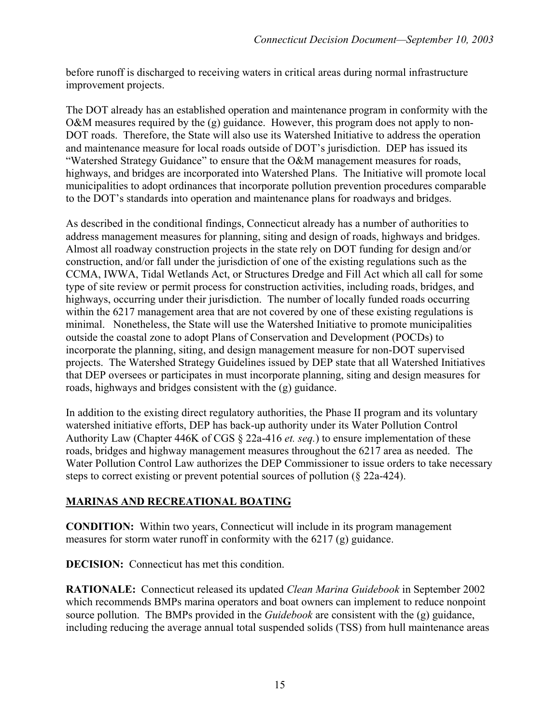before runoff is discharged to receiving waters in critical areas during normal infrastructure improvement projects.

The DOT already has an established operation and maintenance program in conformity with the O&M measures required by the (g) guidance. However, this program does not apply to non-DOT roads. Therefore, the State will also use its Watershed Initiative to address the operation and maintenance measure for local roads outside of DOT's jurisdiction. DEP has issued its "Watershed Strategy Guidance" to ensure that the O&M management measures for roads, highways, and bridges are incorporated into Watershed Plans. The Initiative will promote local municipalities to adopt ordinances that incorporate pollution prevention procedures comparable to the DOT's standards into operation and maintenance plans for roadways and bridges.

As described in the conditional findings, Connecticut already has a number of authorities to address management measures for planning, siting and design of roads, highways and bridges. Almost all roadway construction projects in the state rely on DOT funding for design and/or construction, and/or fall under the jurisdiction of one of the existing regulations such as the CCMA, IWWA, Tidal Wetlands Act, or Structures Dredge and Fill Act which all call for some type of site review or permit process for construction activities, including roads, bridges, and highways, occurring under their jurisdiction. The number of locally funded roads occurring within the 6217 management area that are not covered by one of these existing regulations is minimal.Nonetheless, the State will use the Watershed Initiative to promote municipalities outside the coastal zone to adopt Plans of Conservation and Development (POCDs) to incorporate the planning, siting, and design management measure for non-DOT supervised projects. The Watershed Strategy Guidelines issued by DEP state that all Watershed Initiatives that DEP oversees or participates in must incorporate planning, siting and design measures for roads, highways and bridges consistent with the (g) guidance.

In addition to the existing direct regulatory authorities, the Phase II program and its voluntary watershed initiative efforts, DEP has back-up authority under its Water Pollution Control Authority Law (Chapter 446K of CGS § 22a-416 *et. seq.*) to ensure implementation of these roads, bridges and highway management measures throughout the 6217 area as needed. The Water Pollution Control Law authorizes the DEP Commissioner to issue orders to take necessary steps to correct existing or prevent potential sources of pollution (§ 22a-424).

### **MARINAS AND RECREATIONAL BOATING**

**CONDITION:** Within two years, Connecticut will include in its program management measures for storm water runoff in conformity with the 6217 (g) guidance.

**DECISION:** Connecticut has met this condition.

**RATIONALE:** Connecticut released its updated *Clean Marina Guidebook* in September 2002 which recommends BMPs marina operators and boat owners can implement to reduce nonpoint source pollution. The BMPs provided in the *Guidebook* are consistent with the (g) guidance, including reducing the average annual total suspended solids (TSS) from hull maintenance areas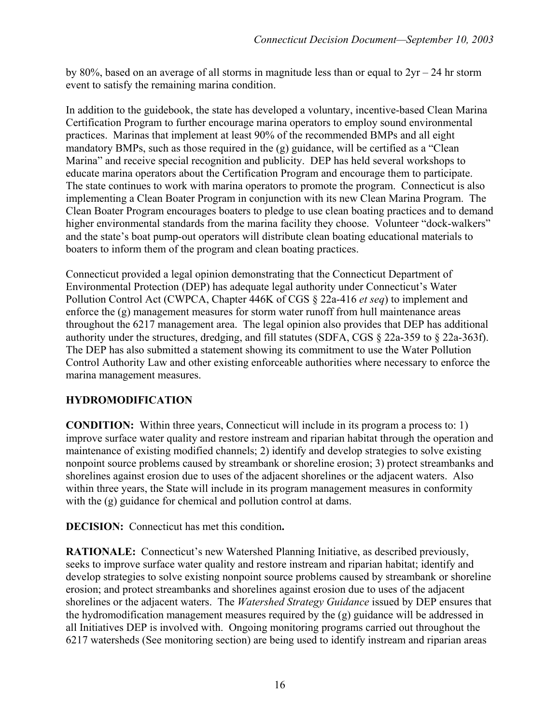by 80%, based on an average of all storms in magnitude less than or equal to  $2yr - 24$  hr storm event to satisfy the remaining marina condition.

In addition to the guidebook, the state has developed a voluntary, incentive-based Clean Marina Certification Program to further encourage marina operators to employ sound environmental practices. Marinas that implement at least 90% of the recommended BMPs and all eight mandatory BMPs, such as those required in the (g) guidance, will be certified as a "Clean Marina" and receive special recognition and publicity. DEP has held several workshops to educate marina operators about the Certification Program and encourage them to participate. The state continues to work with marina operators to promote the program. Connecticut is also implementing a Clean Boater Program in conjunction with its new Clean Marina Program. The Clean Boater Program encourages boaters to pledge to use clean boating practices and to demand higher environmental standards from the marina facility they choose. Volunteer "dock-walkers" and the state's boat pump-out operators will distribute clean boating educational materials to boaters to inform them of the program and clean boating practices.

Connecticut provided a legal opinion demonstrating that the Connecticut Department of Environmental Protection (DEP) has adequate legal authority under Connecticut's Water Pollution Control Act (CWPCA, Chapter 446K of CGS § 22a-416 *et seq*) to implement and enforce the (g) management measures for storm water runoff from hull maintenance areas throughout the 6217 management area. The legal opinion also provides that DEP has additional authority under the structures, dredging, and fill statutes (SDFA, CGS § 22a-359 to § 22a-363f). The DEP has also submitted a statement showing its commitment to use the Water Pollution Control Authority Law and other existing enforceable authorities where necessary to enforce the marina management measures.

### **HYDROMODIFICATION**

**CONDITION:** Within three years, Connecticut will include in its program a process to: 1) improve surface water quality and restore instream and riparian habitat through the operation and maintenance of existing modified channels; 2) identify and develop strategies to solve existing nonpoint source problems caused by streambank or shoreline erosion; 3) protect streambanks and shorelines against erosion due to uses of the adjacent shorelines or the adjacent waters. Also within three years, the State will include in its program management measures in conformity with the (g) guidance for chemical and pollution control at dams.

**DECISION:** Connecticut has met this condition**.** 

**RATIONALE:** Connecticut's new Watershed Planning Initiative, as described previously, seeks to improve surface water quality and restore instream and riparian habitat; identify and develop strategies to solve existing nonpoint source problems caused by streambank or shoreline erosion; and protect streambanks and shorelines against erosion due to uses of the adjacent shorelines or the adjacent waters. The *Watershed Strategy Guidance* issued by DEP ensures that the hydromodification management measures required by the (g) guidance will be addressed in all Initiatives DEP is involved with. Ongoing monitoring programs carried out throughout the 6217 watersheds (See monitoring section) are being used to identify instream and riparian areas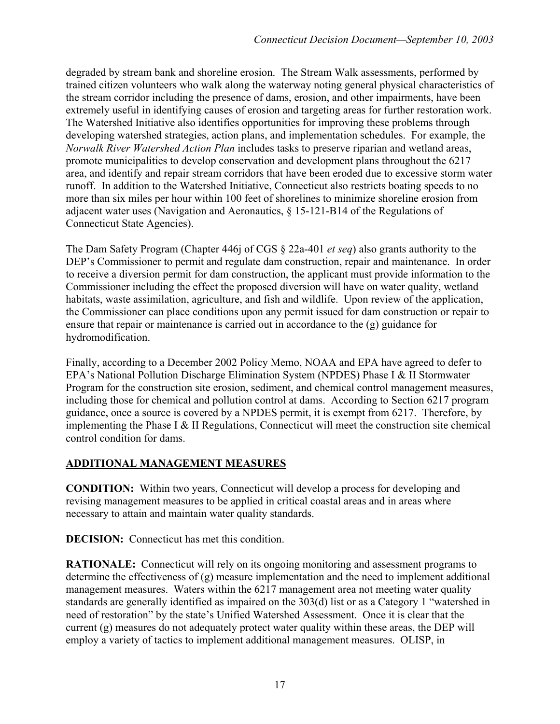degraded by stream bank and shoreline erosion. The Stream Walk assessments, performed by trained citizen volunteers who walk along the waterway noting general physical characteristics of the stream corridor including the presence of dams, erosion, and other impairments, have been extremely useful in identifying causes of erosion and targeting areas for further restoration work. The Watershed Initiative also identifies opportunities for improving these problems through developing watershed strategies, action plans, and implementation schedules. For example, the *Norwalk River Watershed Action Plan* includes tasks to preserve riparian and wetland areas, promote municipalities to develop conservation and development plans throughout the 6217 area, and identify and repair stream corridors that have been eroded due to excessive storm water runoff. In addition to the Watershed Initiative, Connecticut also restricts boating speeds to no more than six miles per hour within 100 feet of shorelines to minimize shoreline erosion from adjacent water uses (Navigation and Aeronautics, § 15-121-B14 of the Regulations of Connecticut State Agencies).

The Dam Safety Program (Chapter 446j of CGS § 22a-401 *et seq*) also grants authority to the DEP's Commissioner to permit and regulate dam construction, repair and maintenance. In order to receive a diversion permit for dam construction, the applicant must provide information to the Commissioner including the effect the proposed diversion will have on water quality, wetland habitats, waste assimilation, agriculture, and fish and wildlife. Upon review of the application, the Commissioner can place conditions upon any permit issued for dam construction or repair to ensure that repair or maintenance is carried out in accordance to the (g) guidance for hydromodification.

Finally, according to a December 2002 Policy Memo, NOAA and EPA have agreed to defer to EPA's National Pollution Discharge Elimination System (NPDES) Phase I & II Stormwater Program for the construction site erosion, sediment, and chemical control management measures, including those for chemical and pollution control at dams. According to Section 6217 program guidance, once a source is covered by a NPDES permit, it is exempt from 6217. Therefore, by implementing the Phase I & II Regulations, Connecticut will meet the construction site chemical control condition for dams.

# **ADDITIONAL MANAGEMENT MEASURES**

**CONDITION:** Within two years, Connecticut will develop a process for developing and revising management measures to be applied in critical coastal areas and in areas where necessary to attain and maintain water quality standards.

**DECISION:** Connecticut has met this condition.

**RATIONALE:** Connecticut will rely on its ongoing monitoring and assessment programs to determine the effectiveness of (g) measure implementation and the need to implement additional management measures. Waters within the 6217 management area not meeting water quality standards are generally identified as impaired on the 303(d) list or as a Category 1 "watershed in need of restoration" by the state's Unified Watershed Assessment. Once it is clear that the current (g) measures do not adequately protect water quality within these areas, the DEP will employ a variety of tactics to implement additional management measures. OLISP, in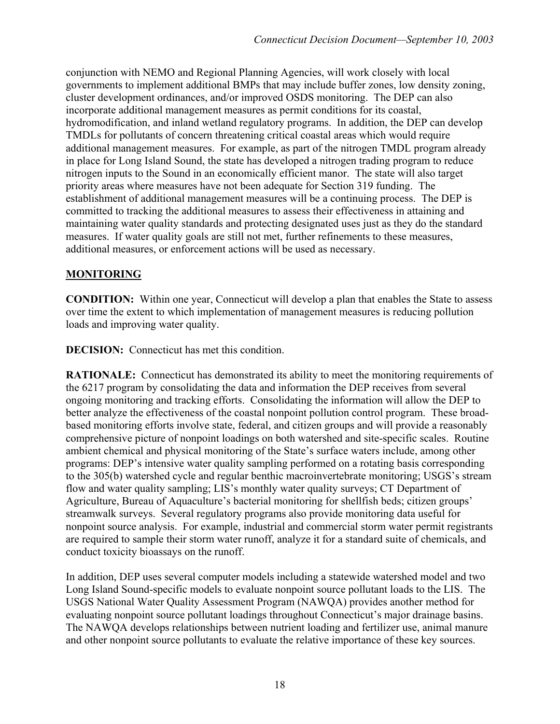conjunction with NEMO and Regional Planning Agencies, will work closely with local governments to implement additional BMPs that may include buffer zones, low density zoning, cluster development ordinances, and/or improved OSDS monitoring. The DEP can also incorporate additional management measures as permit conditions for its coastal, hydromodification, and inland wetland regulatory programs. In addition, the DEP can develop TMDLs for pollutants of concern threatening critical coastal areas which would require additional management measures. For example, as part of the nitrogen TMDL program already in place for Long Island Sound, the state has developed a nitrogen trading program to reduce nitrogen inputs to the Sound in an economically efficient manor. The state will also target priority areas where measures have not been adequate for Section 319 funding. The establishment of additional management measures will be a continuing process. The DEP is committed to tracking the additional measures to assess their effectiveness in attaining and maintaining water quality standards and protecting designated uses just as they do the standard measures. If water quality goals are still not met, further refinements to these measures, additional measures, or enforcement actions will be used as necessary.

## **MONITORING**

**CONDITION:** Within one year, Connecticut will develop a plan that enables the State to assess over time the extent to which implementation of management measures is reducing pollution loads and improving water quality.

**DECISION:** Connecticut has met this condition.

**RATIONALE:** Connecticut has demonstrated its ability to meet the monitoring requirements of the 6217 program by consolidating the data and information the DEP receives from several ongoing monitoring and tracking efforts. Consolidating the information will allow the DEP to better analyze the effectiveness of the coastal nonpoint pollution control program. These broadbased monitoring efforts involve state, federal, and citizen groups and will provide a reasonably comprehensive picture of nonpoint loadings on both watershed and site-specific scales. Routine ambient chemical and physical monitoring of the State's surface waters include, among other programs: DEP's intensive water quality sampling performed on a rotating basis corresponding to the 305(b) watershed cycle and regular benthic macroinvertebrate monitoring; USGS's stream flow and water quality sampling; LIS's monthly water quality surveys; CT Department of Agriculture, Bureau of Aquaculture's bacterial monitoring for shellfish beds; citizen groups' streamwalk surveys. Several regulatory programs also provide monitoring data useful for nonpoint source analysis. For example, industrial and commercial storm water permit registrants are required to sample their storm water runoff, analyze it for a standard suite of chemicals, and conduct toxicity bioassays on the runoff.

In addition, DEP uses several computer models including a statewide watershed model and two Long Island Sound-specific models to evaluate nonpoint source pollutant loads to the LIS. The USGS National Water Quality Assessment Program (NAWQA) provides another method for evaluating nonpoint source pollutant loadings throughout Connecticut's major drainage basins. The NAWQA develops relationships between nutrient loading and fertilizer use, animal manure and other nonpoint source pollutants to evaluate the relative importance of these key sources.